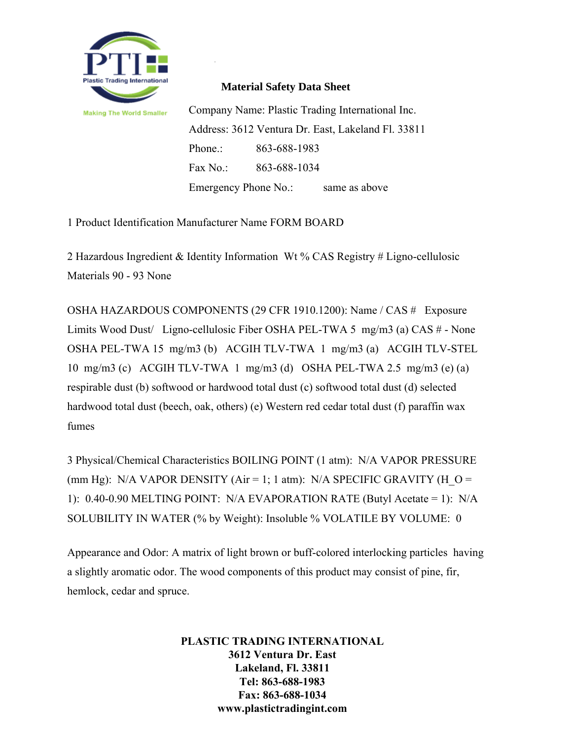

## **Material Safety Data Sheet**

Company Name: Plastic Trading International Inc. Address: 3612 Ventura Dr. East, Lakeland Fl. 33811 Phone.: 863-688-1983 Fax No.: 863-688-1034 Emergency Phone No.: same as above

1 Product Identification Manufacturer Name FORM BOARD

2 Hazardous Ingredient & Identity Information Wt % CAS Registry # Ligno-cellulosic Materials 90 - 93 None

OSHA HAZARDOUS COMPONENTS (29 CFR 1910.1200): Name / CAS # Exposure Limits Wood Dust/ Ligno-cellulosic Fiber OSHA PEL-TWA 5 mg/m3 (a) CAS # - None OSHA PEL-TWA 15 mg/m3 (b) ACGIH TLV-TWA 1 mg/m3 (a) ACGIH TLV-STEL 10 mg/m3 (c) ACGIH TLV-TWA 1 mg/m3 (d) OSHA PEL-TWA 2.5 mg/m3 (e) (a) respirable dust (b) softwood or hardwood total dust (c) softwood total dust (d) selected hardwood total dust (beech, oak, others) (e) Western red cedar total dust (f) paraffin wax fumes

3 Physical/Chemical Characteristics BOILING POINT (1 atm): N/A VAPOR PRESSURE (mm Hg): N/A VAPOR DENSITY (Air = 1; 1 atm): N/A SPECIFIC GRAVITY (H\_O = 1): 0.40-0.90 MELTING POINT: N/A EVAPORATION RATE (Butyl Acetate = 1): N/A SOLUBILITY IN WATER (% by Weight): Insoluble % VOLATILE BY VOLUME: 0

Appearance and Odor: A matrix of light brown or buff-colored interlocking particles having a slightly aromatic odor. The wood components of this product may consist of pine, fir, hemlock, cedar and spruce.

> **PLASTIC TRADING INTERNATIONAL 3612 Ventura Dr. East Lakeland, Fl. 33811 Tel: 863-688-1983 Fax: 863-688-1034 www.plastictradingint.com**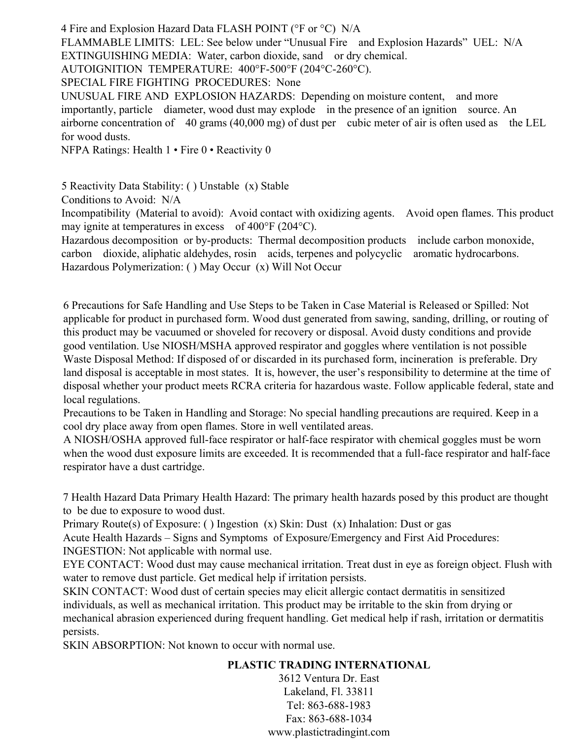4 Fire and Explosion Hazard Data FLASH POINT (°F or °C) N/A

FLAMMABLE LIMITS: LEL: See below under "Unusual Fire and Explosion Hazards" UEL: N/A EXTINGUISHING MEDIA: Water, carbon dioxide, sand or dry chemical.

AUTOIGNITION TEMPERATURE: 400°F-500°F (204°C-260°C).

SPECIAL FIRE FIGHTING PROCEDURES: None

UNUSUAL FIRE AND EXPLOSION HAZARDS: Depending on moisture content, and more importantly, particle diameter, wood dust may explode in the presence of an ignition source. An airborne concentration of 40 grams (40,000 mg) of dust per cubic meter of air is often used as the LEL for wood dusts.

NFPA Ratings: Health 1 • Fire 0 • Reactivity 0

5 Reactivity Data Stability: ( ) Unstable (x) Stable

Conditions to Avoid: N/A

Incompatibility (Material to avoid): Avoid contact with oxidizing agents. Avoid open flames. This product may ignite at temperatures in excess of 400°F (204°C).

Hazardous decomposition or by-products: Thermal decomposition products include carbon monoxide, carbon dioxide, aliphatic aldehydes, rosin acids, terpenes and polycyclic aromatic hydrocarbons. Hazardous Polymerization: ( ) May Occur (x) Will Not Occur

6 Precautions for Safe Handling and Use Steps to be Taken in Case Material is Released or Spilled: Not applicable for product in purchased form. Wood dust generated from sawing, sanding, drilling, or routing of this product may be vacuumed or shoveled for recovery or disposal. Avoid dusty conditions and provide good ventilation. Use NIOSH/MSHA approved respirator and goggles where ventilation is not possible Waste Disposal Method: If disposed of or discarded in its purchased form, incineration is preferable. Dry land disposal is acceptable in most states. It is, however, the user's responsibility to determine at the time of disposal whether your product meets RCRA criteria for hazardous waste. Follow applicable federal, state and local regulations.

Precautions to be Taken in Handling and Storage: No special handling precautions are required. Keep in a cool dry place away from open flames. Store in well ventilated areas.

A NIOSH/OSHA approved full-face respirator or half-face respirator with chemical goggles must be worn when the wood dust exposure limits are exceeded. It is recommended that a full-face respirator and half-face respirator have a dust cartridge.

7 Health Hazard Data Primary Health Hazard: The primary health hazards posed by this product are thought to be due to exposure to wood dust.

Primary Route(s) of Exposure: ( ) Ingestion (x) Skin: Dust (x) Inhalation: Dust or gas

Acute Health Hazards – Signs and Symptoms of Exposure/Emergency and First Aid Procedures:

INGESTION: Not applicable with normal use.

EYE CONTACT: Wood dust may cause mechanical irritation. Treat dust in eye as foreign object. Flush with water to remove dust particle. Get medical help if irritation persists.

SKIN CONTACT: Wood dust of certain species may elicit allergic contact dermatitis in sensitized individuals, as well as mechanical irritation. This product may be irritable to the skin from drying or mechanical abrasion experienced during frequent handling. Get medical help if rash, irritation or dermatitis persists.

SKIN ABSORPTION: Not known to occur with normal use.

# **PLASTIC TRADING INTERNATIONAL**

3612 Ventura Dr. East Lakeland, Fl. 33811 Tel: 863-688-1983 Fax: 863-688-1034 www.plastictradingint.com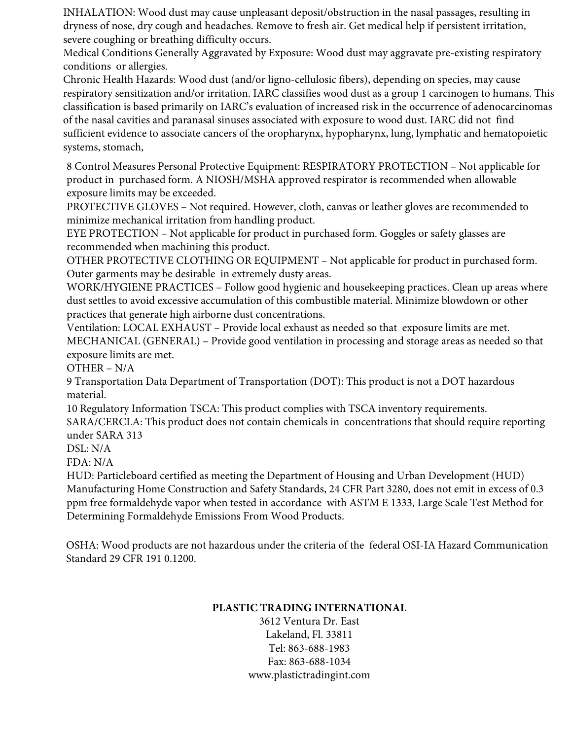INHALATION: Wood dust may cause unpleasant deposit/obstruction in the nasal passages, resulting in dryness of nose, dry cough and headaches. Remove to fresh air. Get medical help if persistent irritation, severe coughing or breathing difficulty occurs.

Medical Conditions Generally Aggravated by Exposure: Wood dust may aggravate pre-existing respiratory conditions or allergies.

Chronic Health Hazards: Wood dust (and/or ligno-cellulosic fibers), depending on species, may cause respiratory sensitization and/or irritation. IARC classifies wood dust as a group 1 carcinogen to humans. This classification is based primarily on IARC's evaluation of increased risk in the occurrence of adenocarcinomas of the nasal cavities and paranasal sinuses associated with exposure to wood dust. IARC did not find sufficient evidence to associate cancers of the oropharynx, hypopharynx, lung, lymphatic and hematopoietic systems, stomach,

8 Control Measures Personal Protective Equipment: RESPIRATORY PROTECTION – Not applicable for product in purchased form. A NIOSH/MSHA approved respirator is recommended when allowable exposure limits may be exceeded.

PROTECTIVE GLOVES – Not required. However, cloth, canvas or leather gloves are recommended to minimize mechanical irritation from handling product.

EYE PROTECTION – Not applicable for product in purchased form. Goggles or safety glasses are recommended when machining this product.

OTHER PROTECTIVE CLOTHING OR EQUIPMENT – Not applicable for product in purchased form. Outer garments may be desirable in extremely dusty areas.

WORK/HYGIENE PRACTICES – Follow good hygienic and housekeeping practices. Clean up areas where dust settles to avoid excessive accumulation of this combustible material. Minimize blowdown or other practices that generate high airborne dust concentrations.

Ventilation: LOCAL EXHAUST – Provide local exhaust as needed so that exposure limits are met. MECHANICAL (GENERAL) – Provide good ventilation in processing and storage areas as needed so that exposure limits are met.

OTHER – N/A

9 Transportation Data Department of Transportation (DOT): This product is not a DOT hazardous material.

10 Regulatory Information TSCA: This product complies with TSCA inventory requirements.

SARA/CERCLA: This product does not contain chemicals in concentrations that should require reporting under SARA 313

DSL: N/A

FDA: N/A

HUD: Particleboard certified as meeting the Department of Housing and Urban Development (HUD) Manufacturing Home Construction and Safety Standards, 24 CFR Part 3280, does not emit in excess of 0.3 ppm free formaldehyde vapor when tested in accordance with ASTM E 1333, Large Scale Test Method for Determining Formaldehyde Emissions From Wood Products.

OSHA: Wood products are not hazardous under the criteria of the federal OSI-IA Hazard Communication Standard 29 CFR 191 0.1200.

## **PLASTIC TRADING INTERNATIONAL**

3612 Ventura Dr. East Lakeland, Fl. 33811 Tel: 863-688-1983 Fax: 863-688-1034 www.plastictradingint.com